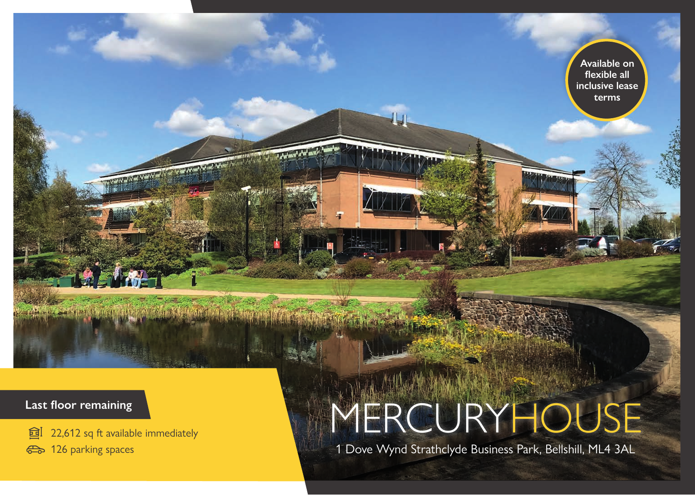### **Last floor remaining**

**al** 22,612 sq ft available immediately

 $\mathcal{F}(\mathcal{F},\mathcal{F})=\mathcal{F}(\mathcal{F})\mathcal{F}(\mathcal{F})\mathcal{F}(\mathcal{F})=\mathcal{F}(\mathcal{F})\mathcal{F}(\mathcal{F})\mathcal{F}(\mathcal{F})\mathcal{F}(\mathcal{F})=\mathcal{F}(\mathcal{F})\mathcal{F}(\mathcal{F})\mathcal{F}(\mathcal{F})$ 

<sup>2</sup>3 126 parking spaces

# MERCURYHOUSE

1 Dove Wynd Strathclyde Business Park, Bellshill, ML4 3AL

**Available on flexible all inclusive lease terms**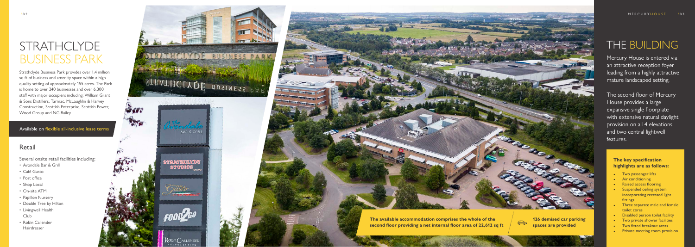# STRATHCLYDE BUSINESS PARK

## THE BUILDING

Strathclyde Business Park provides over 1.4 million sq ft of business and amenity space within a high quality setting of approximately 155 acres. The Park is home to over 240 businesses and over 6,300 staff with major occupiers including: William Grant & Sons Distillers, Tarmac, McLaughlin & Harvey Construction, Scottish Enterprise, Scottish Power, Wood Group and NG Bailey.

### Retail

Several onsite retail facilities including:<br>• Avondale Bar & Grill

- 
- Café Gusto
- Post office
- Shop Local
- On-site ATM
- Papillon Nursery
- Double Tree by Hilton
- Livingwell Health Club
- Robin Callender Hairdresser



Mercury House is entered via an attractive reception foyer leading from a highly attractive mature landscaped setting.

The second floor of Mercury House provides a large expansive single floorplate with extensive natural daylight provision on all 4 elevations and two central lightwell features.

#### **The key specification highlights are as follows:**

- Two passenger lifts
- **Air conditioning**
- **Raised access flooring**
- Suspended ceiling system incorporating recessed light fittings
- Three separate male and female toilet cores
- Disabled person toilet facility
- Two private shower facilities
- Two fitted breakout areas
- Private meeting room provision

Available on flexible all-inclusive lease terms